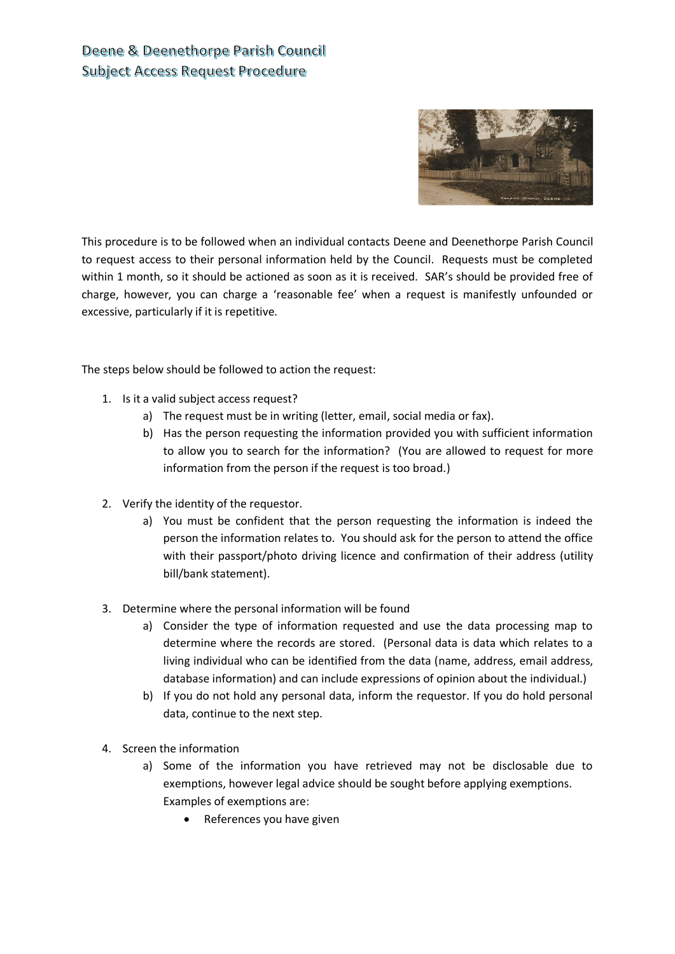# Deene & Deenethorpe Parish Council **Subject Access Request Procedure**



This procedure is to be followed when an individual contacts Deene and Deenethorpe Parish Council to request access to their personal information held by the Council. Requests must be completed within 1 month, so it should be actioned as soon as it is received. SAR's should be provided free of charge, however, you can charge a 'reasonable fee' when a request is manifestly unfounded or excessive, particularly if it is repetitive.

The steps below should be followed to action the request:

- 1. Is it a valid subject access request?
	- a) The request must be in writing (letter, email, social media or fax).
	- b) Has the person requesting the information provided you with sufficient information to allow you to search for the information? (You are allowed to request for more information from the person if the request is too broad.)
- 2. Verify the identity of the requestor.
	- a) You must be confident that the person requesting the information is indeed the person the information relates to. You should ask for the person to attend the office with their passport/photo driving licence and confirmation of their address (utility bill/bank statement).
- 3. Determine where the personal information will be found
	- a) Consider the type of information requested and use the data processing map to determine where the records are stored. (Personal data is data which relates to a living individual who can be identified from the data (name, address, email address, database information) and can include expressions of opinion about the individual.)
	- b) If you do not hold any personal data, inform the requestor. If you do hold personal data, continue to the next step.
- 4. Screen the information
	- a) Some of the information you have retrieved may not be disclosable due to exemptions, however legal advice should be sought before applying exemptions. Examples of exemptions are:
		- References you have given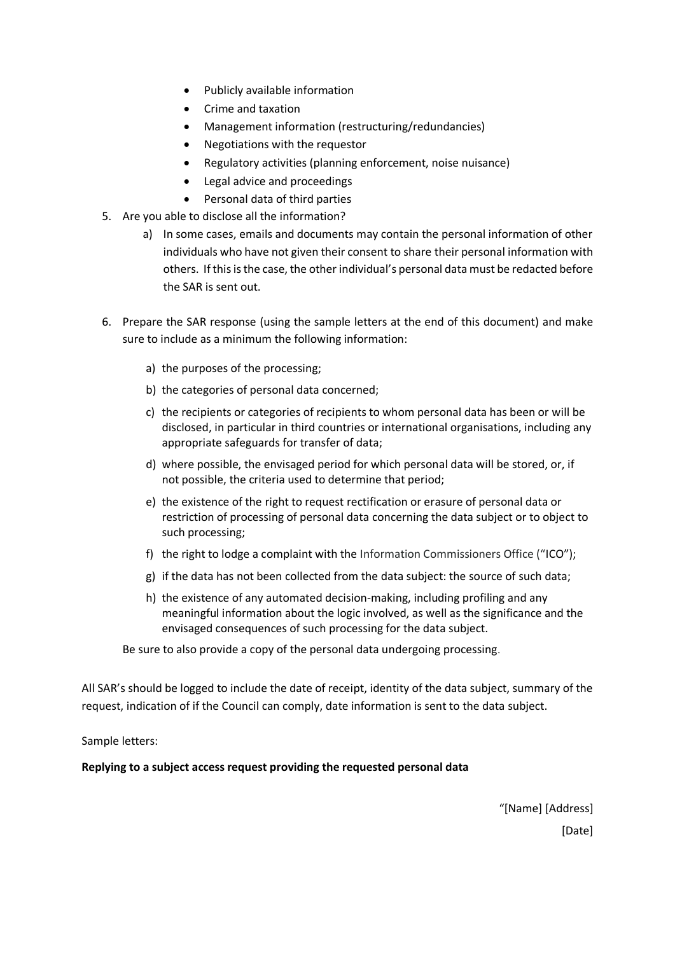- Publicly available information
- Crime and taxation
- Management information (restructuring/redundancies)
- Negotiations with the requestor
- Regulatory activities (planning enforcement, noise nuisance)
- Legal advice and proceedings
- Personal data of third parties
- 5. Are you able to disclose all the information?
	- a) In some cases, emails and documents may contain the personal information of other individuals who have not given their consent to share their personal information with others. If this is the case, the other individual's personal data must be redacted before the SAR is sent out.
- 6. Prepare the SAR response (using the sample letters at the end of this document) and make sure to include as a minimum the following information:
	- a) the purposes of the processing;
	- b) the categories of personal data concerned;
	- c) the recipients or categories of recipients to whom personal data has been or will be disclosed, in particular in third countries or international organisations, including any appropriate safeguards for transfer of data;
	- d) where possible, the envisaged period for which personal data will be stored, or, if not possible, the criteria used to determine that period;
	- e) the existence of the right to request rectification or erasure of personal data or restriction of processing of personal data concerning the data subject or to object to such processing;
	- f) the right to lodge a complaint with the Information Commissioners Office ("ICO");
	- g) if the data has not been collected from the data subject: the source of such data;
	- h) the existence of any automated decision-making, including profiling and any meaningful information about the logic involved, as well as the significance and the envisaged consequences of such processing for the data subject.

Be sure to also provide a copy of the personal data undergoing processing.

All SAR's should be logged to include the date of receipt, identity of the data subject, summary of the request, indication of if the Council can comply, date information is sent to the data subject.

Sample letters:

**Replying to a subject access request providing the requested personal data**

"[Name] [Address] [Date]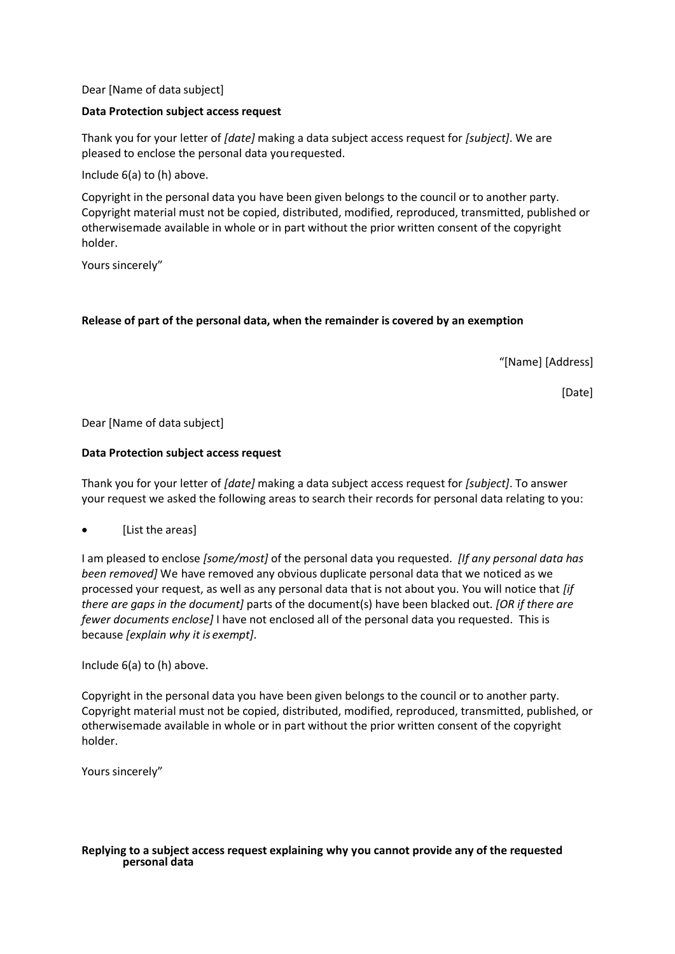Dear [Name of data subject]

# **Data Protection subject access request**

Thank you for your letter of *[date]* making a data subject access request for *[subject]*. We are pleased to enclose the personal data yourequested.

Include 6(a) to (h) above.

Copyright in the personal data you have been given belongs to the council or to another party. Copyright material must not be copied, distributed, modified, reproduced, transmitted, published or otherwisemade available in whole or in part without the prior written consent of the copyright holder.

Yours sincerely"

### **Release of part of the personal data, when the remainder is covered by an exemption**

"[Name] [Address]

[Date]

Dear [Name of data subject]

### **Data Protection subject access request**

Thank you for your letter of *[date]* making a data subject access request for *[subject]*. To answer your request we asked the following areas to search their records for personal data relating to you:

[List the areas]

I am pleased to enclose *[some/most]* of the personal data you requested. *[If any personal data has been removed]* We have removed any obvious duplicate personal data that we noticed as we processed your request, as well as any personal data that is not about you. You will notice that *[if there are gaps in the document]* parts of the document(s) have been blacked out. *[OR if there are fewer documents enclose]* I have not enclosed all of the personal data you requested. This is because *[explain why it is exempt]*.

Include 6(a) to (h) above.

Copyright in the personal data you have been given belongs to the council or to another party. Copyright material must not be copied, distributed, modified, reproduced, transmitted, published, or otherwisemade available in whole or in part without the prior written consent of the copyright holder.

Yours sincerely"

#### **Replying to a subject access request explaining why you cannot provide any of the requested personal data**